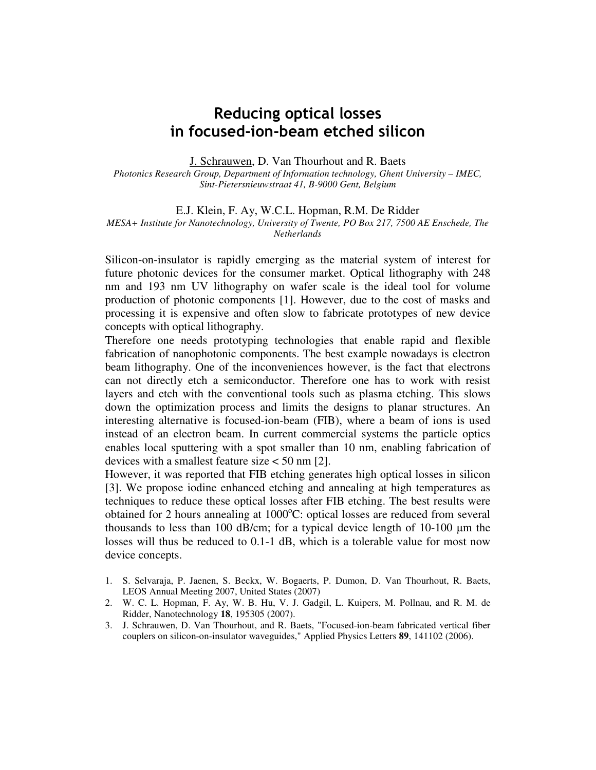## Reducing optical losses in focused-ion-beam etched silicon

J. Schrauwen, D. Van Thourhout and R. Baets

*Photonics Research Group, Department of Information technology, Ghent University – IMEC, Sint-Pietersnieuwstraat 41, B-9000 Gent, Belgium* 

E.J. Klein, F. Ay, W.C.L. Hopman, R.M. De Ridder *MESA+ Institute for Nanotechnology, University of Twente, PO Box 217, 7500 AE Enschede, The Netherlands* 

Silicon-on-insulator is rapidly emerging as the material system of interest for future photonic devices for the consumer market. Optical lithography with 248 nm and 193 nm UV lithography on wafer scale is the ideal tool for volume production of photonic components [1]. However, due to the cost of masks and processing it is expensive and often slow to fabricate prototypes of new device concepts with optical lithography.

Therefore one needs prototyping technologies that enable rapid and flexible fabrication of nanophotonic components. The best example nowadays is electron beam lithography. One of the inconveniences however, is the fact that electrons can not directly etch a semiconductor. Therefore one has to work with resist layers and etch with the conventional tools such as plasma etching. This slows down the optimization process and limits the designs to planar structures. An interesting alternative is focused-ion-beam (FIB), where a beam of ions is used instead of an electron beam. In current commercial systems the particle optics enables local sputtering with a spot smaller than 10 nm, enabling fabrication of devices with a smallest feature size < 50 nm [2].

However, it was reported that FIB etching generates high optical losses in silicon [3]. We propose iodine enhanced etching and annealing at high temperatures as techniques to reduce these optical losses after FIB etching. The best results were obtained for 2 hours annealing at  $1000^{\circ}$ C: optical losses are reduced from several thousands to less than 100 dB/cm; for a typical device length of 10-100 µm the losses will thus be reduced to 0.1-1 dB, which is a tolerable value for most now device concepts.

- 1. S. Selvaraja, P. Jaenen, S. Beckx, W. Bogaerts, P. Dumon, D. Van Thourhout, R. Baets, LEOS Annual Meeting 2007, United States (2007)
- 2. W. C. L. Hopman, F. Ay, W. B. Hu, V. J. Gadgil, L. Kuipers, M. Pollnau, and R. M. de Ridder, Nanotechnology **18**, 195305 (2007).
- 3. J. Schrauwen, D. Van Thourhout, and R. Baets, "Focused-ion-beam fabricated vertical fiber couplers on silicon-on-insulator waveguides," Applied Physics Letters **89**, 141102 (2006).